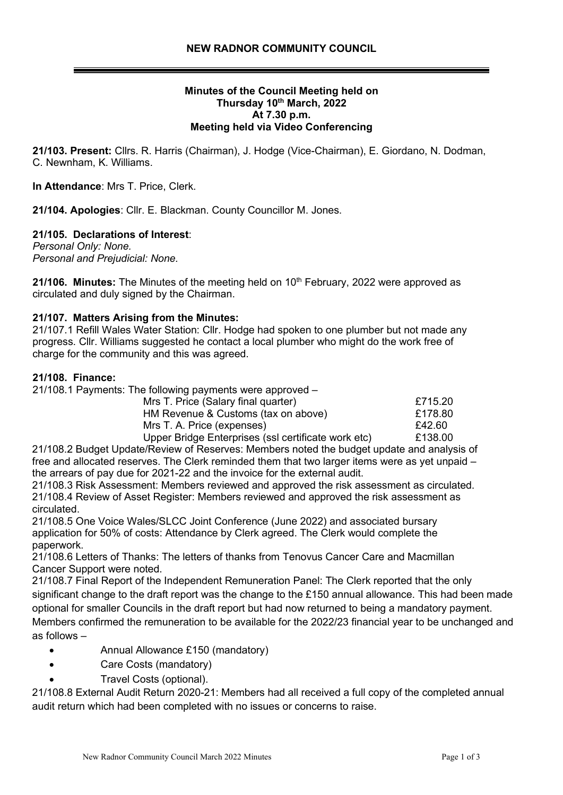### **Minutes of the Council Meeting held on Thursday 10 th March, 2022 At 7.30 p.m. Meeting held via Video Conferencing**

**21/103. Present:** Cllrs. R. Harris (Chairman), J. Hodge (Vice-Chairman), E. Giordano, N. Dodman, C. Newnham, K. Williams.

**In Attendance**: Mrs T. Price, Clerk.

**21/104. Apologies**: Cllr. E. Blackman. County Councillor M. Jones.

### **21/105. Declarations of Interest**:

*Personal Only: None. Personal and Prejudicial: None.*

21/106. Minutes: The Minutes of the meeting held on 10<sup>th</sup> February, 2022 were approved as circulated and duly signed by the Chairman.

### **21/107. Matters Arising from the Minutes:**

21/107.1 Refill Wales Water Station: Cllr. Hodge had spoken to one plumber but not made any progress. Cllr. Williams suggested he contact a local plumber who might do the work free of charge for the community and this was agreed.

### **21/108. Finance:**

| 21/108.1 Payments: The following payments were approved - |         |
|-----------------------------------------------------------|---------|
| Mrs T. Price (Salary final quarter)                       | £715.20 |
| HM Revenue & Customs (tax on above)                       | £178.80 |
| Mrs T. A. Price (expenses)                                | £42.60  |
| Upper Bridge Enterprises (ssl certificate work etc)       | £138.00 |

21/108.2 Budget Update/Review of Reserves: Members noted the budget update and analysis of free and allocated reserves. The Clerk reminded them that two larger items were as yet unpaid – the arrears of pay due for 2021-22 and the invoice for the external audit.

21/108.3 Risk Assessment: Members reviewed and approved the risk assessment as circulated. 21/108.4 Review of Asset Register: Members reviewed and approved the risk assessment as circulated.

21/108.5 One Voice Wales/SLCC Joint Conference (June 2022) and associated bursary application for 50% of costs: Attendance by Clerk agreed. The Clerk would complete the paperwork.

21/108.6 Letters of Thanks: The letters of thanks from Tenovus Cancer Care and Macmillan Cancer Support were noted.

21/108.7 Final Report of the Independent Remuneration Panel: The Clerk reported that the only significant change to the draft report was the change to the £150 annual allowance. This had been made optional for smaller Councils in the draft report but had now returned to being a mandatory payment. Members confirmed the remuneration to be available for the 2022/23 financial year to be unchanged and as follows –

- Annual Allowance £150 (mandatory)
- Care Costs (mandatory)
- Travel Costs (optional).

21/108.8 External Audit Return 2020-21: Members had all received a full copy of the completed annual audit return which had been completed with no issues or concerns to raise.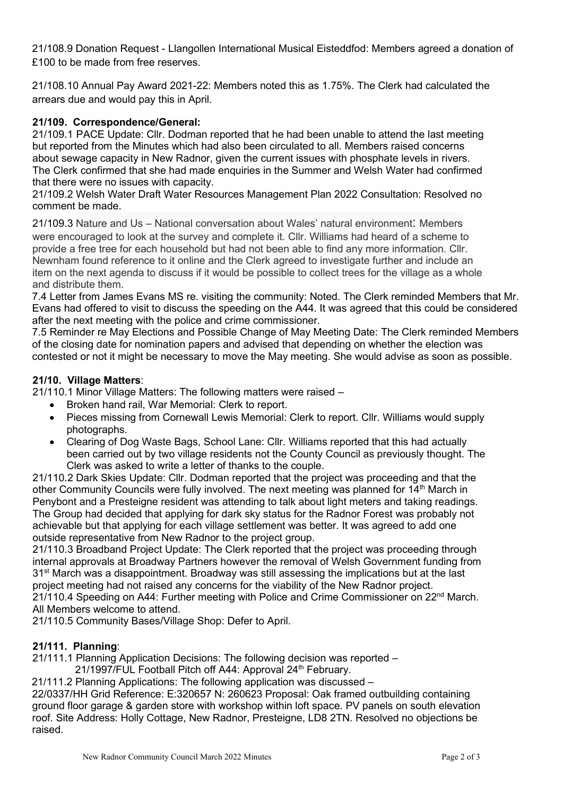21/108.9 Donation Request - Llangollen International Musical Eisteddfod: Members agreed a donation of £100 to be made from free reserves.

21/108.10 Annual Pay Award 2021-22: Members noted this as 1.75%. The Clerk had calculated the arrears due and would pay this in April.

# **21/109. Correspondence/General:**

21/109.1 PACE Update: Cllr. Dodman reported that he had been unable to attend the last meeting but reported from the Minutes which had also been circulated to all. Members raised concerns about sewage capacity in New Radnor, given the current issues with phosphate levels in rivers. The Clerk confirmed that she had made enquiries in the Summer and Welsh Water had confirmed that there were no issues with capacity.

21/109.2 Welsh Water Draft Water Resources Management Plan 2022 Consultation: Resolved no comment be made.

21/109.3 Nature and Us – National conversation about Wales' natural environment: Members were encouraged to look at the survey and complete it. Cllr. Williams had heard of a scheme to provide a free tree for each household but had not been able to find any more information. Cllr. Newnham found reference to it online and the Clerk agreed to investigate further and include an item on the next agenda to discuss if it would be possible to collect trees for the village as a whole and distribute them.

7.4 Letter from James Evans MS re. visiting the community: Noted. The Clerk reminded Members that Mr. Evans had offered to visit to discuss the speeding on the A44. It was agreed that this could be considered after the next meeting with the police and crime commissioner.

7.5 Reminder re May Elections and Possible Change of May Meeting Date: The Clerk reminded Members of the closing date for nomination papers and advised that depending on whether the election was contested or not it might be necessary to move the May meeting. She would advise as soon as possible.

## **21/10. Village Matters**:

21/110.1 Minor Village Matters: The following matters were raised –

- Broken hand rail, War Memorial: Clerk to report.
- Pieces missing from Cornewall Lewis Memorial: Clerk to report. Cllr. Williams would supply photographs.
- Clearing of Dog Waste Bags, School Lane: Cllr. Williams reported that this had actually been carried out by two village residents not the County Council as previously thought. The Clerk was asked to write a letter of thanks to the couple.

21/110.2 Dark Skies Update: Cllr. Dodman reported that the project was proceeding and that the other Community Councils were fully involved. The next meeting was planned for 14<sup>th</sup> March in Penybont and a Presteigne resident was attending to talk about light meters and taking readings. The Group had decided that applying for dark sky status for the Radnor Forest was probably not achievable but that applying for each village settlement was better. It was agreed to add one outside representative from New Radnor to the project group.

21/110.3 Broadband Project Update: The Clerk reported that the project was proceeding through internal approvals at Broadway Partners however the removal of Welsh Government funding from 31<sup>st</sup> March was a disappointment. Broadway was still assessing the implications but at the last project meeting had not raised any concerns for the viability of the New Radnor project.

21/110.4 Speeding on A44: Further meeting with Police and Crime Commissioner on 22nd March. All Members welcome to attend.

21/110.5 Community Bases/Village Shop: Defer to April.

## **21/111. Planning**:

21/111.1 Planning Application Decisions: The following decision was reported –

21/1997/FUL Football Pitch off A44: Approval 24<sup>th</sup> February.

21/111.2 Planning Applications: The following application was discussed –

22/0337/HH Grid Reference: E:320657 N: 260623 Proposal: Oak framed outbuilding containing ground floor garage & garden store with workshop within loft space. PV panels on south elevation roof. Site Address: Holly Cottage, New Radnor, Presteigne, LD8 2TN. Resolved no objections be raised.